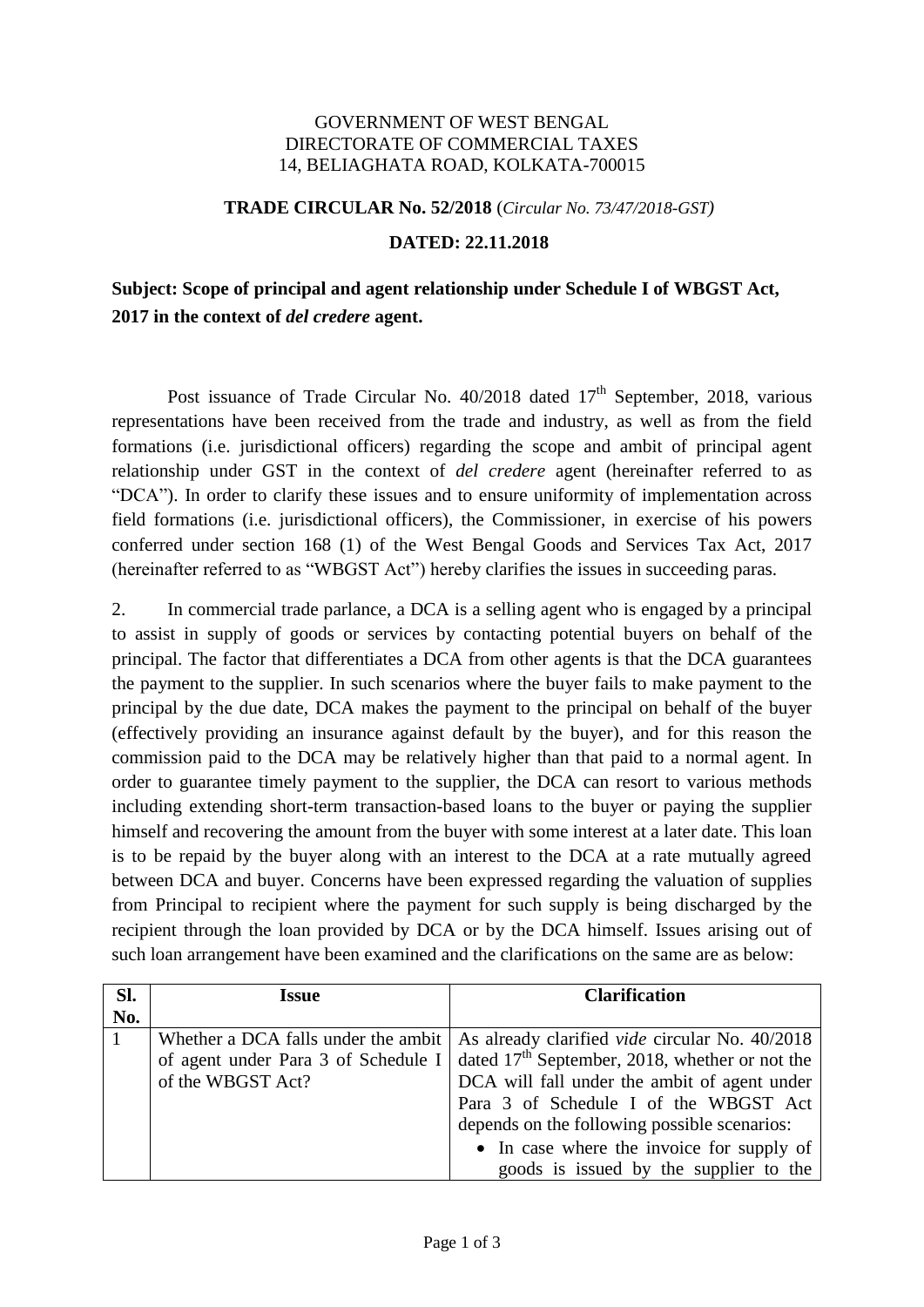## GOVERNMENT OF WEST BENGAL DIRECTORATE OF COMMERCIAL TAXES 14, BELIAGHATA ROAD, KOLKATA-700015

## **TRADE CIRCULAR No. 52/2018** (*Circular No. 73/47/2018-GST)*

## **DATED: 22.11.2018**

## **Subject: Scope of principal and agent relationship under Schedule I of WBGST Act, 2017 in the context of** *del credere* **agent.**

Post issuance of Trade Circular No.  $40/2018$  dated  $17<sup>th</sup>$  September, 2018, various representations have been received from the trade and industry, as well as from the field formations (i.e. jurisdictional officers) regarding the scope and ambit of principal agent relationship under GST in the context of *del credere* agent (hereinafter referred to as "DCA"). In order to clarify these issues and to ensure uniformity of implementation across field formations (i.e. jurisdictional officers), the Commissioner, in exercise of his powers conferred under section 168 (1) of the West Bengal Goods and Services Tax Act, 2017 (hereinafter referred to as "WBGST Act") hereby clarifies the issues in succeeding paras.

2. In commercial trade parlance, a DCA is a selling agent who is engaged by a principal to assist in supply of goods or services by contacting potential buyers on behalf of the principal. The factor that differentiates a DCA from other agents is that the DCA guarantees the payment to the supplier. In such scenarios where the buyer fails to make payment to the principal by the due date, DCA makes the payment to the principal on behalf of the buyer (effectively providing an insurance against default by the buyer), and for this reason the commission paid to the DCA may be relatively higher than that paid to a normal agent. In order to guarantee timely payment to the supplier, the DCA can resort to various methods including extending short-term transaction-based loans to the buyer or paying the supplier himself and recovering the amount from the buyer with some interest at a later date. This loan is to be repaid by the buyer along with an interest to the DCA at a rate mutually agreed between DCA and buyer. Concerns have been expressed regarding the valuation of supplies from Principal to recipient where the payment for such supply is being discharged by the recipient through the loan provided by DCA or by the DCA himself. Issues arising out of such loan arrangement have been examined and the clarifications on the same are as below:

| Sl. | Issue                               | <b>Clarification</b>                                                                              |
|-----|-------------------------------------|---------------------------------------------------------------------------------------------------|
| No. |                                     |                                                                                                   |
|     |                                     | Whether a DCA falls under the ambit $\vert$ As already clarified <i>vide</i> circular No. 40/2018 |
|     | of agent under Para 3 of Schedule I | dated $17th$ September, 2018, whether or not the                                                  |
|     | of the WBGST Act?                   | DCA will fall under the ambit of agent under                                                      |
|     |                                     | Para 3 of Schedule I of the WBGST Act                                                             |
|     |                                     | depends on the following possible scenarios:                                                      |
|     |                                     | • In case where the invoice for supply of                                                         |
|     |                                     | goods is issued by the supplier to the                                                            |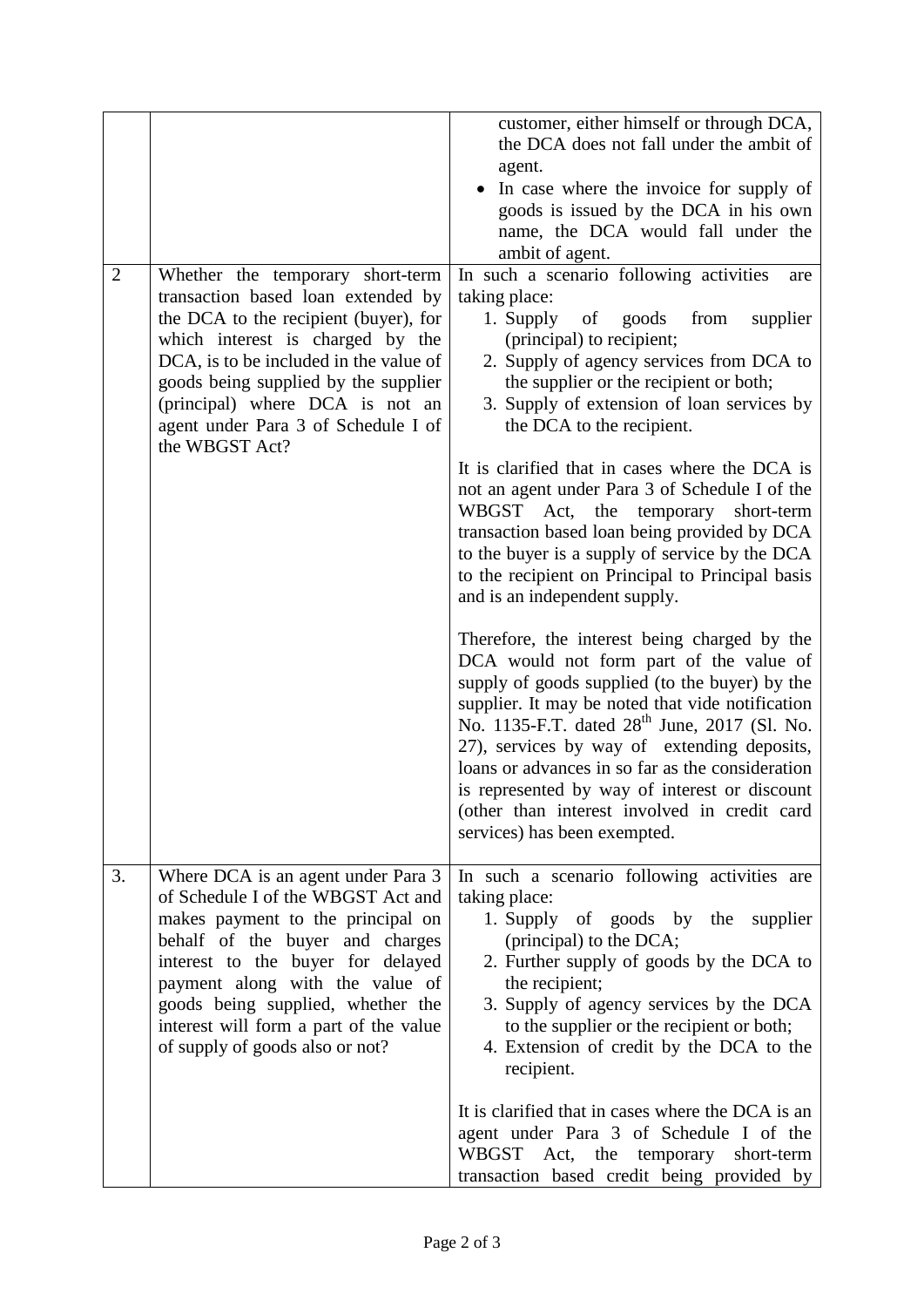|                |                                                                                                                                                                                                                                                                                                                                            | customer, either himself or through DCA,<br>the DCA does not fall under the ambit of<br>agent.<br>In case where the invoice for supply of<br>goods is issued by the DCA in his own<br>name, the DCA would fall under the<br>ambit of agent.                                                                                                                                                                                                                                                   |
|----------------|--------------------------------------------------------------------------------------------------------------------------------------------------------------------------------------------------------------------------------------------------------------------------------------------------------------------------------------------|-----------------------------------------------------------------------------------------------------------------------------------------------------------------------------------------------------------------------------------------------------------------------------------------------------------------------------------------------------------------------------------------------------------------------------------------------------------------------------------------------|
| $\overline{2}$ | Whether the temporary short-term<br>transaction based loan extended by<br>the DCA to the recipient (buyer), for<br>which interest is charged by the<br>DCA, is to be included in the value of<br>goods being supplied by the supplier<br>(principal) where DCA is not an<br>agent under Para 3 of Schedule I of<br>the WBGST Act?          | In such a scenario following activities<br>are<br>taking place:<br>1. Supply of<br>goods<br>from<br>supplier<br>(principal) to recipient;<br>2. Supply of agency services from DCA to<br>the supplier or the recipient or both;<br>3. Supply of extension of loan services by<br>the DCA to the recipient.                                                                                                                                                                                    |
|                |                                                                                                                                                                                                                                                                                                                                            | It is clarified that in cases where the DCA is<br>not an agent under Para 3 of Schedule I of the<br>WBGST Act, the<br>temporary<br>short-term<br>transaction based loan being provided by DCA<br>to the buyer is a supply of service by the DCA<br>to the recipient on Principal to Principal basis<br>and is an independent supply.                                                                                                                                                          |
|                |                                                                                                                                                                                                                                                                                                                                            | Therefore, the interest being charged by the<br>DCA would not form part of the value of<br>supply of goods supplied (to the buyer) by the<br>supplier. It may be noted that vide notification<br>No. 1135-F.T. dated 28 <sup>th</sup> June, 2017 (Sl. No.<br>27), services by way of extending deposits,<br>loans or advances in so far as the consideration<br>is represented by way of interest or discount<br>(other than interest involved in credit card<br>services) has been exempted. |
| 3.             | Where DCA is an agent under Para 3<br>of Schedule I of the WBGST Act and<br>makes payment to the principal on<br>behalf of the buyer and charges<br>interest to the buyer for delayed<br>payment along with the value of<br>goods being supplied, whether the<br>interest will form a part of the value<br>of supply of goods also or not? | In such a scenario following activities are<br>taking place:<br>1. Supply of goods by the<br>supplier<br>(principal) to the DCA;<br>2. Further supply of goods by the DCA to<br>the recipient;<br>3. Supply of agency services by the DCA<br>to the supplier or the recipient or both;<br>4. Extension of credit by the DCA to the<br>recipient.                                                                                                                                              |
|                |                                                                                                                                                                                                                                                                                                                                            | It is clarified that in cases where the DCA is an<br>agent under Para 3 of Schedule I of the<br>WBGST Act, the temporary<br>short-term<br>transaction based credit being provided by                                                                                                                                                                                                                                                                                                          |